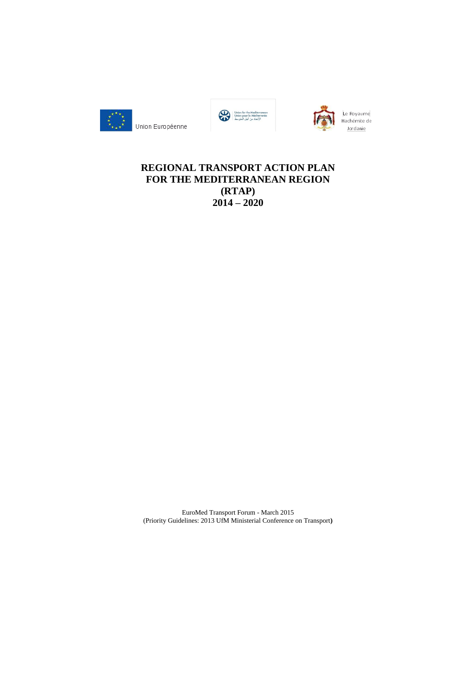





Le Royaume Hachémite de Jordanie

# **REGIONAL TRANSPORT ACTION PLAN FOR THE MEDITERRANEAN REGION (RTAP) 2014 – 2020**

EuroMed Transport Forum - March 2015 (Priority Guidelines: 2013 UfM Ministerial Conference on Transport**)**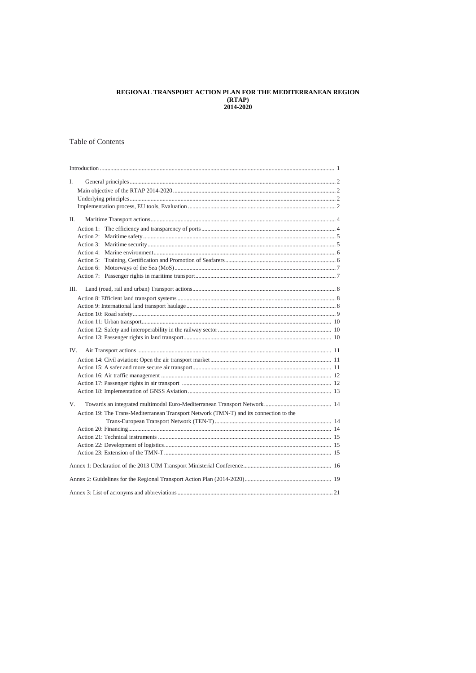## REGIONAL TRANSPORT ACTION PLAN FOR THE MEDITERRANEAN REGION  $(RTAP)$  $2014 - 2020$

## **Table of Contents**

| I.                                                                                     |  |  |  |
|----------------------------------------------------------------------------------------|--|--|--|
|                                                                                        |  |  |  |
|                                                                                        |  |  |  |
|                                                                                        |  |  |  |
| П.                                                                                     |  |  |  |
|                                                                                        |  |  |  |
|                                                                                        |  |  |  |
|                                                                                        |  |  |  |
|                                                                                        |  |  |  |
|                                                                                        |  |  |  |
|                                                                                        |  |  |  |
|                                                                                        |  |  |  |
|                                                                                        |  |  |  |
| Ш.                                                                                     |  |  |  |
|                                                                                        |  |  |  |
|                                                                                        |  |  |  |
|                                                                                        |  |  |  |
|                                                                                        |  |  |  |
|                                                                                        |  |  |  |
|                                                                                        |  |  |  |
| IV.                                                                                    |  |  |  |
|                                                                                        |  |  |  |
|                                                                                        |  |  |  |
|                                                                                        |  |  |  |
|                                                                                        |  |  |  |
|                                                                                        |  |  |  |
| $V_{\cdot}$                                                                            |  |  |  |
|                                                                                        |  |  |  |
| Action 19: The Trans-Mediterranean Transport Network (TMN-T) and its connection to the |  |  |  |
|                                                                                        |  |  |  |
|                                                                                        |  |  |  |
|                                                                                        |  |  |  |
|                                                                                        |  |  |  |
|                                                                                        |  |  |  |
|                                                                                        |  |  |  |
|                                                                                        |  |  |  |
|                                                                                        |  |  |  |
|                                                                                        |  |  |  |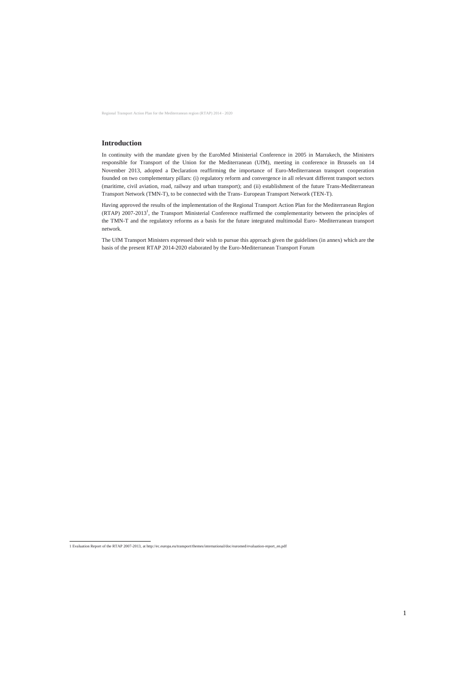Regional Transport Action Plan for the Mediterranean region (RTAP) 2014 - 2020

## **Introduction**

In continuity with the mandate given by the EuroMed Ministerial Conference in 2005 in Marrakech, the Ministers responsible for Transport of the Union for the Mediterranean (UfM), meeting in conference in Brussels on 14 November 2013, adopted a Declaration reaffirming the importance of Euro-Mediterranean transport cooperation founded on two complementary pillars: (i) regulatory reform and convergence in all relevant different transport sectors (maritime, civil aviation, road, railway and urban transport); and (ii) establishment of the future Trans-Mediterranean Transport Network (TMN-T), to be connected with the Trans- European Transport Network (TEN-T).

Having approved the results of the implementation of the Regional Transport Action Plan for the Mediterranean Region (RTAP) 2007-2013<sup>1</sup>, the Transport Ministerial Conference reaffirmed the complementarity between the principles of the TMN-T and the regulatory reforms as a basis for the future integrated multimodal Euro- Mediterranean transport network.

The UfM Transport Ministers expressed their wish to pursue this approach given the guidelines (in annex) which are the basis of the present RTAP 2014-2020 elaborated by the Euro-Mediterranean Transport Forum

1 Evaluation Report of the RTAP 2007-2013, a[t http://ec.europa.eu/transport/themes/international/doc/euromed/evaluation-report\\_en.pdf](http://ec.europa.eu/transport/themes/international/doc/euromed/evaluation-report_en.pdf)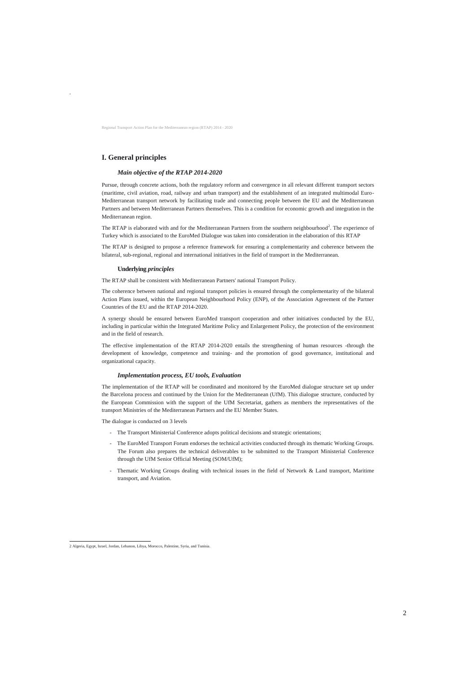.

Regional Transport Action Plan for the Mediterranean region (RTAP) 2014 - 2020

## **I. General principles**

#### *Main objective of the RTAP 2014-2020*

Pursue, through concrete actions, both the regulatory reform and convergence in all relevant different transport sectors (maritime, civil aviation, road, railway and urban transport) and the establishment of an integrated multimodal Euro-Mediterranean transport network by facilitating trade and connecting people between the EU and the Mediterranean Partners and between Mediterranean Partners themselves. This is a condition for economic growth and integration in the Mediterranean region.

The RTAP is elaborated with and for the Mediterranean Partners from the southern neighbourhood<sup>2</sup>. The experience of Turkey which is associated to the EuroMed Dialogue was taken into consideration in the elaboration of this RTAP

The RTAP is designed to propose a reference framework for ensuring a complementarity and coherence between the bilateral, sub-regional, regional and international initiatives in the field of transport in the Mediterranean.

#### **Underlying** *principles*

The RTAP shall be consistent with Mediterranean Partners' national Transport Policy.

The coherence between national and regional transport policies is ensured through the complementarity of the bilateral Action Plans issued, within the European Neighbourhood Policy (ENP), of the Association Agreement of the Partner Countries of the EU and the RTAP 2014-2020.

A synergy should be ensured between EuroMed transport cooperation and other initiatives conducted by the EU, including in particular within the Integrated Maritime Policy and Enlargement Policy, the protection of the environment and in the field of research.

The effective implementation of the RTAP 2014-2020 entails the strengthening of human resources -through the development of knowledge, competence and training- and the promotion of good governance, institutional and organizational capacity.

#### *Implementation process, EU tools, Evaluation*

The implementation of the RTAP will be coordinated and monitored by the EuroMed dialogue structure set up under the Barcelona process and continued by the Union for the Mediterranean (UfM). This dialogue structure, conducted by the European Commission with the support of the UfM Secretariat, gathers as members the representatives of the transport Ministries of the Mediterranean Partners and the EU Member States.

The dialogue is conducted on 3 levels

- The Transport Ministerial Conference adopts political decisions and strategic orientations;
- The EuroMed Transport Forum endorses the technical activities conducted through its thematic Working Groups. The Forum also prepares the technical deliverables to be submitted to the Transport Ministerial Conference through the UfM Senior Official Meeting (SOM/UfM);
- Thematic Working Groups dealing with technical issues in the field of Network & Land transport, Maritime transport, and Aviation.

2 Algeria, Egypt, Israel, Jordan, Lebanon, Libya, Morocco, Palestine, Syria, and Tunisia.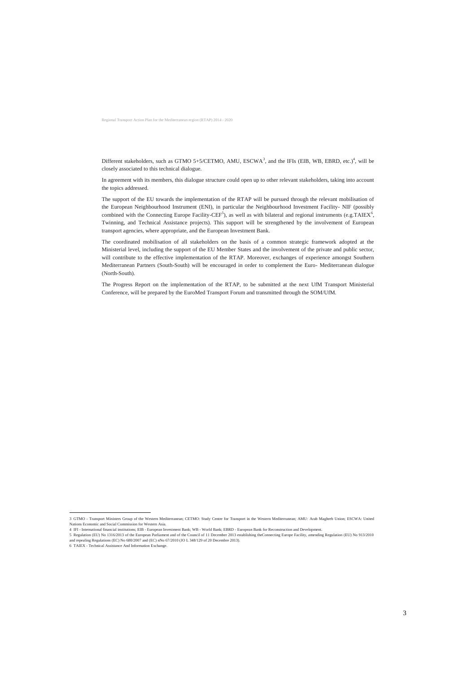Different stakeholders, such as GTMO 5+5/CETMO, AMU,  $ESCWA^3$ , and the IFIs (EIB, WB, EBRD, etc.)<sup>4</sup>, will be closely associated to this technical dialogue.

In agreement with its members, this dialogue structure could open up to other relevant stakeholders, taking into account the topics addressed.

The support of the EU towards the implementation of the RTAP will be pursued through the relevant mobilisation of the European Neighbourhood Instrument (ENI), in particular the Neighbourhood Investment Facility- NIF (possibly combined with the Connecting Europe Facility-CEF<sup>5</sup>), as well as with bilateral and regional instruments (e.g.TAIEX<sup>6</sup>, Twinning, and Technical Assistance projects). This support will be strengthened by the involvement of European transport agencies, where appropriate, and the European Investment Bank.

The coordinated mobilisation of all stakeholders on the basis of a common strategic framework adopted at the Ministerial level, including the support of the EU Member States and the involvement of the private and public sector, will contribute to the effective implementation of the RTAP. Moreover, exchanges of experience amongst Southern Mediterranean Partners (South-South) will be encouraged in order to complement the Euro- Mediterranean dialogue (North-South).

The Progress Report on the implementation of the RTAP, to be submitted at the next UfM Transport Ministerial Conference, will be prepared by the EuroMed Transport Forum and transmitted through the SOM/UfM.

 $\overline{a}$ 

<sup>3</sup> GTMO - Transport Ministers Group of the Western Mediterranean; CETMO: Study Centre for Transport in the Western Mediterranean; AMU: Arab Maghreb Union; ESCWA: United Nations Economic and Social Commission for Western Asia.

<sup>4</sup> IFI - International financial institutions; EIB - European Investment Bank; WB - World Bank; EBRD - European Bank for Reconstruction and Development.

<sup>5</sup> Regulation (EU) No 1316/2013 of the European Parliament and of the Council of 11 December 2013 establishing theConnecting Europe Facility, amending Regulation (EU) No 913/2010 and repealing Regulations (EC) No 680/2007 and (EC) nNo 67/2010 (JO L 348/129 of 20 Decembre 2013).

<sup>6</sup> TAIEX - Technical Assistance And Information Exchange.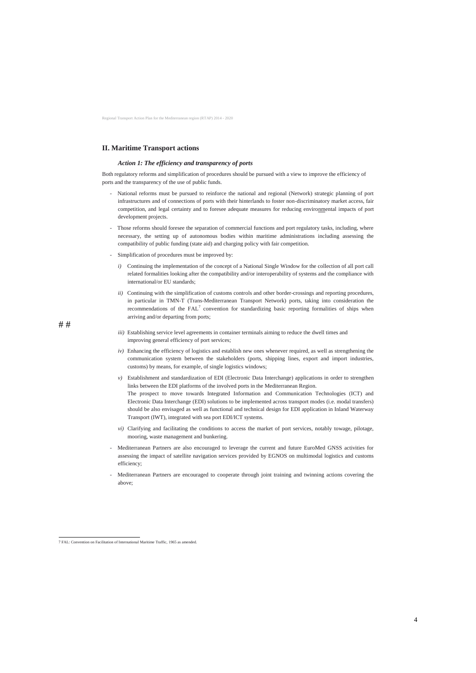#### **II. Maritime Transport actions**

#### *Action 1: The efficiency and transparency of ports*

Both regulatory reforms and simplification of procedures should be pursued with a view to improve the efficiency of ports and the transparency of the use of public funds.

## <span id="page-5-0"></span># #

- National reforms must be pursued to reinforce the national and regional (Network) strategic planning of port infrastructures and of connections of ports with their hinterlands to foster non-discriminatory market access, fair competition, and legal certainty and to foresee adequate measures for reducing environmental impacts of port development projects.
- Those reforms should foresee the separation of commercial functions and port regulatory tasks, including, where necessary, the setting up of autonomous bodies within maritime administrations including assessing the compatibility of public funding (state aid) and charging policy with fair competition.
- Simplification of procedures must be improved by:
	- *i)* Continuing the implementation of the concept of a National Single Window for the collection of all port call related formalities looking after the compatibility and/or interoperability of systems and the compliance with international/or EU standards;
	- *ii*) Continuing with the simplification of customs controls and other border-crossings and reporting procedures, in particular in TMN-T (Trans-Mediterranean Transport Network) ports, taking into consideration the recommendations of the  $FAL<sup>7</sup>$  convention for standardizing basic reporting formalities of ships when arriving and/or departing from ports;
	- *iii*) Establishing service level agreements in container terminals aiming to reduce the dwell times and improving general efficiency of port services;
	- *iv)* Enhancing the efficiency of logistics and establish new ones whenever required, as well as strengthening the communication system between the stakeholders (ports, shipping lines, export and import industries, customs) by means, for example, of single logistics windows;
	- *v)* Establishment and standardization of EDI (Electronic Data Interchange) applications in order to strengthen links between the EDI platforms of the involved ports in the Mediterranean Region. The prospect to move towards Integrated Information and Communication Technologies (ICT) and Electronic Data Interchange (EDI) solutions to be implemented across transport modes (i.e. modal transfers) should be also envisaged as well as functional and technical design for EDI application in Inland Waterway Transport (IWT), integrated with sea port EDI/ICT systems.
	- *vi)* Clarifying and facilitating the conditions to access the market of port services, notably towage, pilotage, mooring, waste management and bunkering.
- Mediterranean Partners are also encouraged to leverage the current and future EuroMed GNSS activities for assessing the impact of satellite navigation services provided by EGNOS on multimodal logistics and customs efficiency;
- Mediterranean Partners are encouraged to cooperate through joint training and twinning actions covering the above;

 7 FAL: Convention on Facilitation of International Maritime Traffic, 1965 as amended.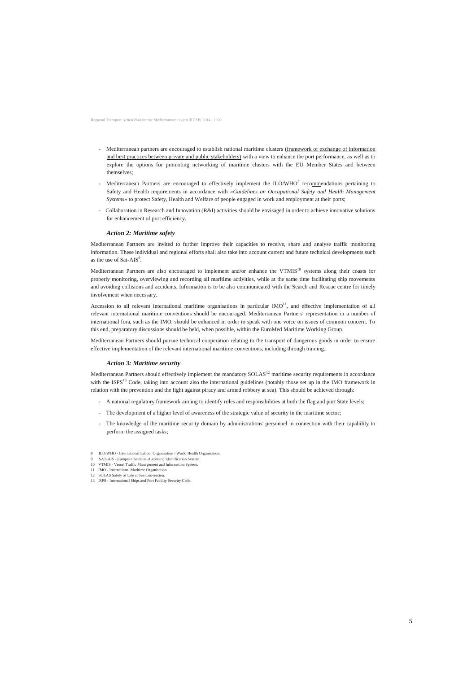Regional Transport Action Plan for the Mediterranean region (RTAP) 2014 - 2020

Mediterranean Partners are invited to further improve their capacities to receive, share and analyse traffic monitoring information. These individual and regional efforts shall also take into account current and future technical developments such as the use of  $Sat-ALS^9$ .

- Mediterranean partners are encouraged to establish national maritime clusters (framework of exchange of information and best practices between private and public stakeholders) with a view to enhance the port performance, as well as to explore the options for promoting networking of maritime clusters with the EU Member States and between themselves;
- Mediterranean Partners are encouraged to effectively implement the ILO/WHO<sup>8</sup> recommendations pertaining to Safety and Health requirements in accordance with *«Guidelines on Occupational Safety and Health Management Systems»* to protect Safety, Health and Welfare of people engaged in work and employment at their ports;
- Collaboration in Research and Innovation (R&I) activities should be envisaged in order to achieve innovative solutions for enhancement of port efficiency.

Mediterranean Partners are also encouraged to implement and/or enhance the VTMIS<sup>10</sup> systems along their coasts for properly monitoring, overviewing and recording all maritime activities, while at the same time facilitating ship movements and avoiding collisions and accidents. Information is to be also communicated with the Search and Rescue centre for timely involvement when necessary.

#### *Action 2: Maritime safety*

Accession to all relevant international maritime organisations in particular  $IMO<sup>11</sup>$ , and effective implementation of all relevant international maritime conventions should be encouraged. Mediterranean Partners' representation in a number of international fora, such as the IMO, should be enhanced in order to speak with one voice on issues of common concern. To this end, preparatory discussions should be held, when possible, within the EuroMed Maritime Working Group.

Mediterranean Partners should effectively implement the mandatory SOLAS<sup>12</sup> maritime security requirements in accordance with the ISPS<sup>13</sup> Code, taking into account also the international guidelines (notably those set up in the IMO framework in relation with the prevention and the fight against piracy and armed robbery at sea). This should be achieved through:

Mediterranean Partners should pursue technical cooperation relating to the transport of dangerous goods in order to ensure effective implementation of the relevant international maritime conventions, including through training.

#### *Action 3: Maritime security*

- A national regulatory framework aiming to identify roles and responsibilities at both the flag and port State levels;
- The development of a higher level of awareness of the strategic value of security in the maritime sector;
- The knowledge of the maritime security domain by administrations' personnel in connection with their capability to perform the assigned tasks;
- 8 ILO/WHO International Labour Organisation / World Health Organisation.
- 9 SAT-AIS European Satellite-Automatic Identification System.
- 10 VTMIS Vessel Traffic Management and Information System.
- 11 IMO International Maritime Organisation.
- 12 SOLAS Safety of Life at Sea Convention.
- 13 ISPS International Ships and Port Facility Security Code.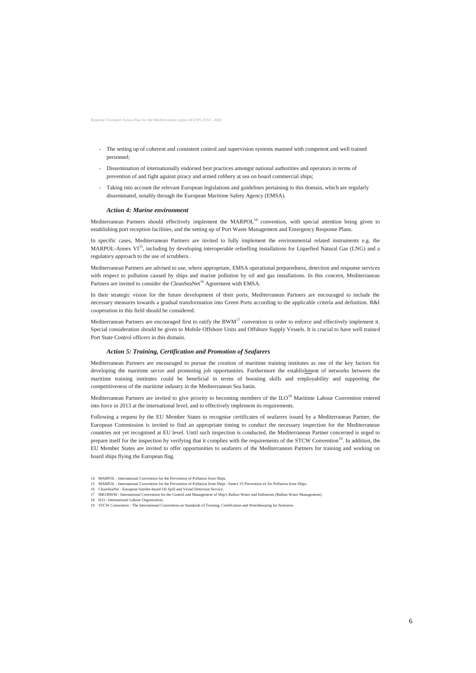Regional Transport Action Plan for the Mediterranean region (RTAP) 2014 - 2020

- The setting up of coherent and consistent control and supervision systems manned with competent and well trained personnel;
- Dissemination of internationally endorsed best practices amongst national authorities and operators in terms of prevention of and fight against piracy and armed robbery at sea on board commercial ships;
- Taking into account the relevant European legislations and guidelines pertaining to this domain, which are regularly disseminated, notably through the European Maritime Safety Agency (EMSA).

Mediterranean Partners should effectively implement the MARPOL<sup>14</sup> convention, with special attention being given to establishing port reception facilities, and the setting up of Port Waste Management and Emergency Response Plans.

Mediterranean Partners are advised to use, where appropriate, EMSA operational preparedness, detection and response services with respect to pollution caused by ships and marine pollution by oil and gas installations. In this concern, Mediterranean Partners are invited to consider the CleanSeaNet<sup>16</sup> Agreement with EMSA.

#### *Action 4: Marine environment*

In specific cases, Mediterranean Partners are invited to fully implement the environmental related instruments e.g. the MARPOL-Annex  $VI<sup>15</sup>$ , including by developing interoperable refuelling installations for Liquefied Natural Gas (LNG) and a regulatory approach to the use of scrubbers.

Mediterranean Partners are encouraged first to ratify the BWM<sup>17</sup> convention in order to enforce and effectively implement it. Special consideration should be given to Mobile Offshore Units and Offshore Supply Vessels. It is crucial to have well trained Port State Control officers in this domain.

Mediterranean Partners are invited to give priority to becoming members of the ILO<sup>18</sup> Maritime Labour Convention entered into force in 2013 at the international level, and to effectively implement its requirements.

In their strategic vision for the future development of their ports, Mediterranean Partners are encouraged to include the necessary measures towards a gradual transformation into Green Ports according to the applicable criteria and definition. R&I cooperation in this field should be considered.

#### *Action 5: Training, Certification and Promotion of Seafarers*

Mediterranean Partners are encouraged to pursue the creation of maritime training institutes as one of the key factors for developing the maritime sector and promoting job opportunities. Furthermore the establishment of networks between the maritime training institutes could be beneficial in terms of boosting skills and employability and supporting the competitiveness of the maritime industry in the Mediterranean Sea basin.

Following a request by the EU Member States to recognise certificates of seafarers issued by a Mediterranean Partner, the European Commission is invited to find an appropriate timing to conduct the necessary inspection for the Mediterranean countries not yet recognised at EU level. Until such inspection is conducted, the Mediterranean Partner concerned is urged to prepare itself for the inspection by verifying that it complies with the requirements of the STCW Convention<sup>19</sup>. In addition, the EU Member States are invited to offer opportunities to seafarers of the Mediterranean Partners for training and working on board ships flying the European flag.

15 MARPOL - International Convention for the Prevention of Pollution from Ships -Annex VI Prevention of Air Pollution from Ships.

<sup>14</sup> MARPOL - International Convention for the Prevention of Pollution from Ships.

<sup>16</sup> CleanSeaNet - European Satelite-based Oil Spill and Vessel Detection Service.

<sup>17</sup> IMO/BWM - International Convention for the Control and Management of Ship's Ballast Water and Sediments (Ballast Water Management).

<sup>18</sup> ILO - International Labour Organization.

<sup>19</sup> STCW Convention - The International Convention on Standards of Training, Certification and Watchkeeping for Seafarers.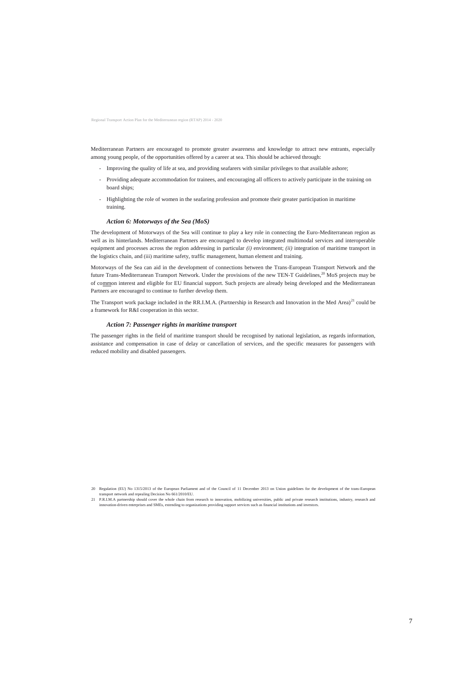Regional Transport Action Plan for the Mediterranean region (RTAP) 2014 - 2020

Mediterranean Partners are encouraged to promote greater awareness and knowledge to attract new entrants, especially among young people, of the opportunities offered by a career at sea. This should be achieved through:

- Improving the quality of life at sea, and providing seafarers with similar privileges to that available ashore;
- Providing adequate accommodation for trainees, and encouraging all officers to actively participate in the training on board ships;
- Highlighting the role of women in the seafaring profession and promote their greater participation in maritime training.

#### *Action 6: Motorways of the Sea (MoS)*

The Transport work package included in the RR.I.M.A. (Partnership in Research and Innovation in the Med Area) $^{21}$  could be a framework for R&I cooperation in this sector.

The development of Motorways of the Sea will continue to play a key role in connecting the Euro-Mediterranean region as well as its hinterlands. Mediterranean Partners are encouraged to develop integrated multimodal services and interoperable equipment and processes across the region addressing in particular *(i)* environment; *(ii)* integration of maritime transport in the logistics chain, and (iii) maritime safety, traffic management, human element and training.

Motorways of the Sea can aid in the development of connections between the Trans-European Transport Network and the future Trans-Mediterranean Transport Network. Under the provisions of the new TEN-T Guidelines,<sup>20</sup> MoS projects may be of common interest and eligible for EU financial support. Such projects are already being developed and the Mediterranean Partners are encouraged to continue to further develop them.

#### *Action 7: Passenger rights in maritime transport*

The passenger rights in the field of maritime transport should be recognised by national legislation, as regards information, assistance and compensation in case of delay or cancellation of services, and the specific measures for passengers with reduced mobility and disabled passengers.

<sup>20</sup> Regulation (EU) No 1315/2013 of the European Parliament and of the Council of 11 December 2013 on Union guidelines for the development of the trans-European transport network and repealing Decision No 661/2010/EU.

<sup>21</sup> P.R.I.M.A partnership should cover the whole chain from research to innovation, mobilizing universities, public and private research institutions, industry, research and innovation-driven enterprises and SMEs, extending to organizations providing support services such as financial institutions and investors.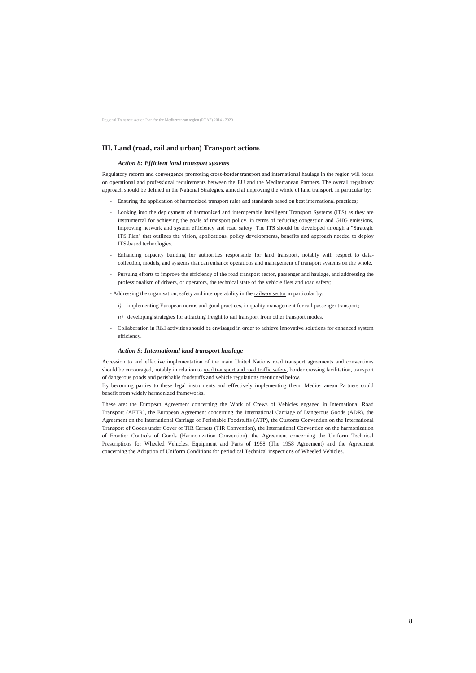Regional Transport Action Plan for the Mediterranean region (RTAP) 2014 - 2020

## **III. Land (road, rail and urban) Transport actions**

#### *Action 8: Efficient land transport systems*

Regulatory reform and convergence promoting cross-border transport and international haulage in the region will focus on operational and professional requirements between the EU and the Mediterranean Partners. The overall regulatory approach should be defined in the National Strategies, aimed at improving the whole of land transport, in particular by:

- Ensuring the application of harmonized transport rules and standards based on best international practices;
- Looking into the deployment of harmonized and interoperable Intelligent Transport Systems (ITS) as they are instrumental for achieving the goals of transport policy, in terms of reducing congestion and GHG emissions, improving network and system efficiency and road safety. The ITS should be developed through a "Strategic ITS Plan" that outlines the vision, applications, policy developments, benefits and approach needed to deploy ITS-based technologies.
- Enhancing capacity building for authorities responsible for land transport, notably with respect to datacollection, models, and systems that can enhance operations and management of transport systems on the whole.
- Pursuing efforts to improve the efficiency of the road transport sector, passenger and haulage, and addressing the professionalism of drivers, of operators, the technical state of the vehicle fleet and road safety;
- Addressing the organisation, safety and interoperability in the railway sector in particular by:
	- *i*) implementing European norms and good practices, in quality management for rail passenger transport;
	- *ii*) developing strategies for attracting freight to rail transport from other transport modes.
- Collaboration in R&I activities should be envisaged in order to achieve innovative solutions for enhanced system efficiency.

#### *Action 9: International land transport haulage*

Accession to and effective implementation of the main United Nations road transport agreements and conventions should be encouraged, notably in relation to road transport and road traffic safety, border crossing facilitation, transport of dangerous goods and perishable foodstuffs and vehicle regulations mentioned below.

By becoming parties to these legal instruments and effectively implementing them, Mediterranean Partners could benefit from widely harmonized frameworks.

These are: the European Agreement concerning the Work of Crews of Vehicles engaged in International Road Transport (AETR), the European Agreement concerning the International Carriage of Dangerous Goods (ADR), the Agreement on the International Carriage of Perishable Foodstuffs (ATP), the Customs Convention on the International Transport of Goods under Cover of TIR Carnets (TIR Convention), the International Convention on the harmonization of Frontier Controls of Goods (Harmonization Convention), the Agreement concerning the Uniform Technical Prescriptions for Wheeled Vehicles, Equipment and Parts of 1958 (The 1958 Agreement) and the Agreement concerning the Adoption of Uniform Conditions for periodical Technical inspections of Wheeled Vehicles.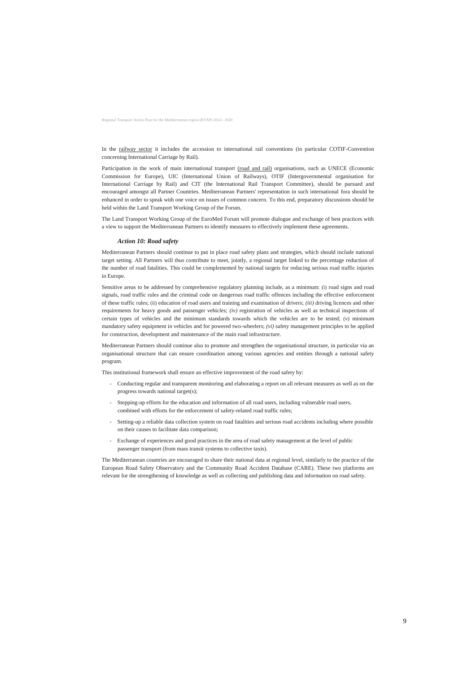Regional Transport Action Plan for the Mediterranean region (RTAP) 2014 - 2020

In the railway sector it includes the accession to international rail conventions (in particular COTIF-Convention concerning International Carriage by Rail).

Participation in the work of main international transport (road and rail) organisations, such as UNECE (Economic Commission for Europe), UIC (International Union of Railways), OTIF (Intergovernmental organisation for International Carriage by Rail) and CIT (the International Rail Transport Committee), should be pursued and encouraged amongst all Partner Countries. Mediterranean Partners' representation in such international fora should be enhanced in order to speak with one voice on issues of common concern. To this end, preparatory discussions should be held within the Land Transport Working Group of the Forum.

The Land Transport Working Group of the EuroMed Forum will promote dialogue and exchange of best practices with a view to support the Mediterranean Partners to identify measures to effectively implement these agreements.

#### *Action 10: Road safety*

Mediterranean Partners should continue to put in place road safety plans and strategies, which should include national target setting. All Partners will thus contribute to meet, jointly, a regional target linked to the percentage reduction of the number of road fatalities. This could be complemented by national targets for reducing serious road traffic injuries in Europe.

Sensitive areas to be addressed by comprehensive regulatory planning include, as a minimum: (i) road signs and road signals, road traffic rules and the criminal code on dangerous road traffic offences including the effective enforcement of these traffic rules; (ii) education of road users and training and examination of drivers; *(iii)* driving licences and other requirements for heavy goods and passenger vehicles; *(iv)* registration of vehicles as well as technical inspections of certain types of vehicles and the minimum standards towards which the vehicles are to be tested; (v) minimum mandatory safety equipment in vehicles and for powered two-wheelers; *(vi)* safety management principles to be applied for construction, development and maintenance of the main road infrastructure.

Mediterranean Partners should continue also to promote and strengthen the organisational structure, in particular via an organisational structure that can ensure coordination among various agencies and entities through a national safety program.

This institutional framework shall ensure an effective improvement of the road safety by:

- Conducting regular and transparent monitoring and elaborating a report on all relevant measures as well as on the progress towards national target(s);
- Stepping-up efforts for the education and information of all road users, including vulnerable road users, combined with efforts for the enforcement of safety-related road traffic rules;
- Setting-up a reliable data collection system on road fatalities and serious road accidents including where possible on their causes to facilitate data comparison;
- Exchange of experiences and good practices in the area of road safety management at the level of public passenger transport (from mass transit systems to collective taxis).

The Mediterranean countries are encouraged to share their national data at regional level, similarly to the practice of the European Road Safety Observatory and the Community Road Accident Database (CARE). These two platforms are relevant for the strengthening of knowledge as well as collecting and publishing data and information on road safety.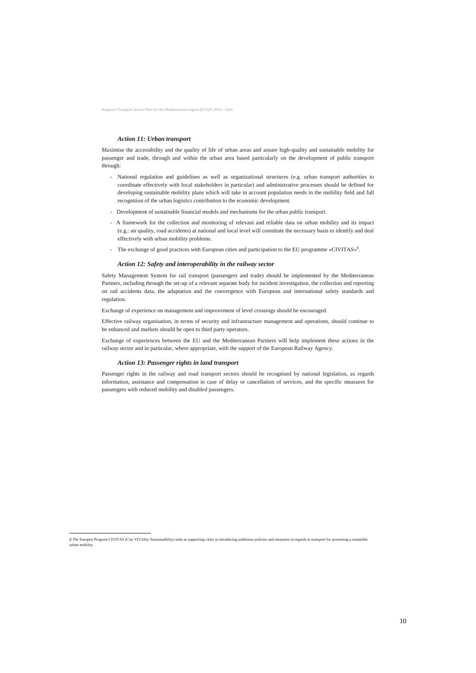#### *Action 11: Urban transport*

- National regulation and guidelines as well as organizational structures (e.g. urban transport authorities to coordinate effectively with local stakeholders in particular) and administrative processes should be defined for developing sustainable mobility plans which will take in account population needs in the mobility field and full recognition of the urban logistics contribution to the economic development.
- Development of sustainable financial models and mechanisms for the urban public transport.
- A framework for the collection and monitoring of relevant and reliable data on urban mobility and its impact (e.g.: air quality, road accidents) at national and local level will constitute the necessary basis to identify and deal effectively with urban mobility problems.
- The exchange of good practices with European cities and participation to the EU programme «CIVITAS»<sup>8</sup>.

Maximise the accessibility and the quality of life of urban areas and assure high-quality and sustainable mobility for passenger and trade, through and within the urban area based particularly on the development of public transport through:

#### *Action 12: Safety and interoperability in the railway sector*

Safety Management System for rail transport (passengers and trade) should be implemented by the Mediterranean Partners, including through the set-up of a relevant separate body for incident investigation, the collection and reporting on rail accidents data, the adaptation and the convergence with European and international safety standards and regulation.

Exchange of experience on management and improvement of level crossings should be encouraged.

Effective railway organisation, in terms of security and infrastructure management and operations, should continue to be enhanced and markets should be open to third party operators.

Exchange of experiences between the EU and the Mediterranean Partners will help implement these actions in the railway sector and in particular, where appropriate, with the support of the European Railway Agency.

#### *Action 13: Passenger rights in land transport*

 $\overline{a}$ 

Passenger rights in the railway and road transport sectors should be recognised by national legislation, as regards information, assistance and compensation in case of delay or cancellation of services, and the specific measures for passengers with reduced mobility and disabled passengers.

<sup>8</sup> The Europen Program CIVITAS (City VITAlity Sustrainability) aims at supporting cities in introducing ambitious policies and measures in regards to transport for promoting a sustaiable urban mobility.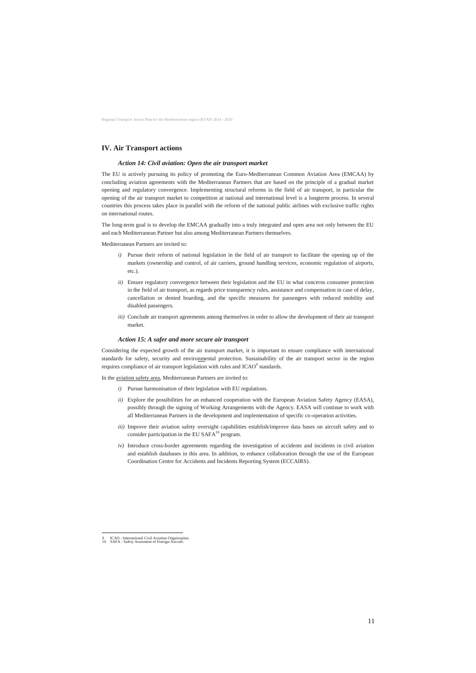Regional Transport Action Plan for the Mediterranean region (RTAP) 2014 - 2020

## **IV. Air Transport actions**

#### *Action 14: Civil aviation: Open the air transport market*

The EU is actively pursuing its policy of promoting the Euro-Mediterranean Common Aviation Area (EMCAA) by concluding aviation agreements with the Mediterranean Partners that are based on the principle of a gradual market opening and regulatory convergence. Implementing structural reforms in the field of air transport, in particular the opening of the air transport market to competition at national and international level is a longterm process. In several countries this process takes place in parallel with the reform of the national public airlines with exclusive traffic rights on international routes.

- *i*) Pursue their reform of national legislation in the field of air transport to facilitate the opening up of the markets (ownership and control, of air carriers, ground handling services, economic regulation of airports, etc.).
- *ii)* Ensure regulatory convergence between their legislation and the EU in what concerns consumer protection in the field of air transport, as regards price transparency rules, assistance and compensation in case of delay, cancellation or denied boarding, and the specific measures for passengers with reduced mobility and disabled passengers.
- *iii)* Conclude air transport agreements among themselves in order to allow the development of their air transport market.

The long-term goal is to develop the EMCAA gradually into a truly integrated and open area not only between the EU and each Mediterranean Partner but also among Mediterranean Partners themselves.

Considering the expected growth of the air transport market, it is important to ensure compliance with international standards for safety, security and environmental protection. Sustainability of the air transport sector in the region requires compliance of air transport legislation with rules and ICAO $^9$  standards.

Mediterranean Partners are invited to:

#### *Action 15: A safer and more secure air transport*

In the aviation safety area, Mediterranean Partners are invited to:

- *i)* Pursue harmonisation of their legislation with EU regulations.
- *ii*) Explore the possibilities for an enhanced cooperation with the European Aviation Safety Agency (EASA), possibly through the signing of Working Arrangements with the Agency. EASA will continue to work with all Mediterranean Partners in the development and implementation of specific co-operation activities.
- *iii*) Improve their aviation safety oversight capabilities establish/improve data bases on aircraft safety and to consider participation in the EU SAFA $^{10}$  program.
- *iv)* Introduce cross-border agreements regarding the investigation of accidents and incidents in civil aviation and establish databases in this area. In addition, to enhance collaboration through the use of the European Coordination Centre for Accidents and Incidents Reporting System (ECCAIRS).

9 ICAO - International Civil Aviation Organization.

SAFA - Safety Assesment of Foreign Aircraft.

 $\overline{a}$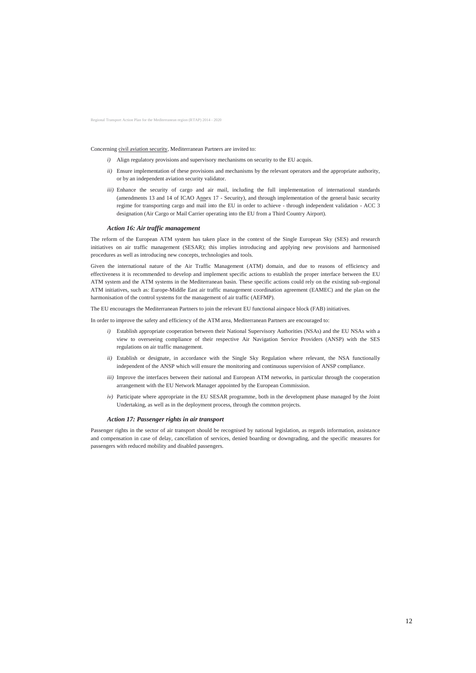Regional Transport Action Plan for the Mediterranean region (RTAP) 2014 - 2020

Concerning civil aviation security, Mediterranean Partners are invited to:

- *i*) Align regulatory provisions and supervisory mechanisms on security to the EU acquis.
- *ii*) Ensure implementation of these provisions and mechanisms by the relevant operators and the appropriate authority, or by an independent aviation security validator.
- *iii*) Enhance the security of cargo and air mail, including the full implementation of international standards (amendments 13 and 14 of ICAO Annex 17 - Security), and through implementation of the general basic security regime for transporting cargo and mail into the EU in order to achieve - through independent validation - ACC 3 designation (Air Cargo or Mail Carrier operating into the EU from a Third Country Airport).

#### *Action 16: Air traffic management*

The reform of the European ATM system has taken place in the context of the Single European Sky (SES) and research initiatives on air traffic management (SESAR); this implies introducing and applying new provisions and harmonised procedures as well as introducing new concepts, technologies and tools.

Given the international nature of the Air Traffic Management (ATM) domain, and due to reasons of efficiency and effectiveness it is recommended to develop and implement specific actions to establish the proper interface between the EU ATM system and the ATM systems in the Mediterranean basin. These specific actions could rely on the existing sub-regional ATM initiatives, such as: Europe-Middle East air traffic management coordination agreement (EAMEC) and the plan on the harmonisation of the control systems for the management of air traffic (AEFMP).

The EU encourages the Mediterranean Partners to join the relevant EU functional airspace block (FAB) initiatives.

In order to improve the safety and efficiency of the ATM area, Mediterranean Partners are encouraged to:

- *i)* Establish appropriate cooperation between their National Supervisory Authorities (NSAs) and the EU NSAs with a view to overseeing compliance of their respective Air Navigation Service Providers (ANSP) with the SES regulations on air traffic management.
- *ii)* Establish or designate, in accordance with the Single Sky Regulation where relevant, the NSA functionally independent of the ANSP which will ensure the monitoring and continuous supervision of ANSP compliance.
- *iii*) Improve the interfaces between their national and European ATM networks, in particular through the cooperation arrangement with the EU Network Manager appointed by the European Commission.
- *iv)* Participate where appropriate in the EU SESAR programme, both in the development phase managed by the Joint Undertaking, as well as in the deployment process, through the common projects.

#### *Action 17: Passenger rights in air transport*

Passenger rights in the sector of air transport should be recognised by national legislation, as regards information, assistance and compensation in case of delay, cancellation of services, denied boarding or downgrading, and the specific measures for passengers with reduced mobility and disabled passengers.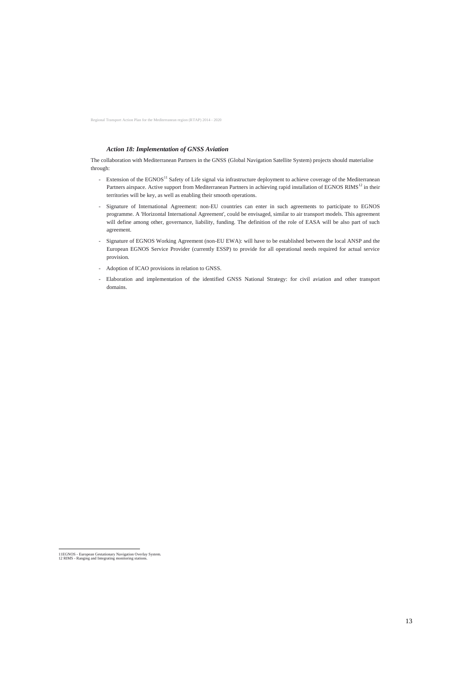## *Action 18: Implementation of GNSS Aviation*

The collaboration with Mediterranean Partners in the GNSS (Global Navigation Satellite System) projects should materialise through:

- Extension of the EGNOS<sup>11</sup> Safety of Life signal via infrastructure deployment to achieve coverage of the Mediterranean Partners airspace. Active support from Mediterranean Partners in achieving rapid installation of EGNOS RIMS<sup>12</sup> in their territories will be key, as well as enabling their smooth operations.
- Signature of International Agreement: non-EU countries can enter in such agreements to participate to EGNOS programme. A 'Horizontal International Agreement', could be envisaged, similar to air transport models. This agreement will define among other, governance, liability, funding. The definition of the role of EASA will be also part of such agreement.
- Signature of EGNOS Working Agreement (non-EU EWA): will have to be established between the local ANSP and the European EGNOS Service Provider (currently ESSP) to provide for all operational needs required for actual service provision.
- Adoption of ICAO provisions in relation to GNSS.
- Elaboration and implementation of the identified GNSS National Strategy: for civil aviation and other transport domains.

 11EGNOS - European Gestationary Navigation Overlay System. 12 RIMS - Ranging and Integrating monitoring stations.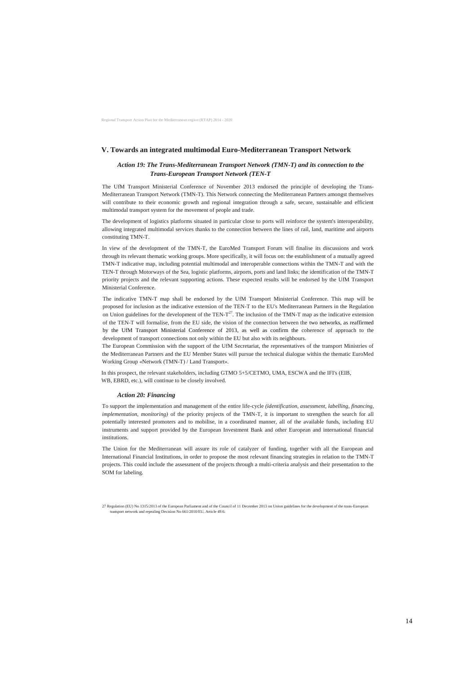## **V. Towards an integrated multimodal Euro-Mediterranean Transport Network**

## *Action 19: The Trans-Mediterranean Transport Network (TMN-T) and its connection to the Trans-European Transport Network (TEN-T*

The UfM Transport Ministerial Conference of November 2013 endorsed the principle of developing the Trans-Mediterranean Transport Network (TMN-T). This Network connecting the Mediterranean Partners amongst themselves will contribute to their economic growth and regional integration through a safe, secure, sustainable and efficient multimodal transport system for the movement of people and trade.

The development of logistics platforms situated in particular close to ports will reinforce the system's interoperability, allowing integrated multimodal services thanks to the connection between the lines of rail, land, maritime and airports constituting TMN-T.

In view of the development of the TMN-T, the EuroMed Transport Forum will finalise its discussions and work through its relevant thematic working groups. More specifically, it will focus on: the establishment of a mutually agreed TMN-T indicative map, including potential multimodal and interoperable connections within the TMN-T and with the TEN-T through Motorways of the Sea, logistic platforms, airports, ports and land links; the identification of the TMN-T priority projects and the relevant supporting actions. These expected results will be endorsed by the UfM Transport Ministerial Conference.

The indicative TMN-T map shall be endorsed by the UfM Transport Ministerial Conference. This map will be proposed for inclusion as the indicative extension of the TEN-T to the EU's Mediterranean Partners in the Regulation on Union guidelines for the development of the TEN- $T^{27}$ . The inclusion of the TMN-T map as the indicative extension of the TEN-T will formalise, from the EU side, the vision of the connection between the two networks, as reaffirmed by the UfM Transport Ministerial Conference of 2013, as well as confirm the coherence of approach to the development of transport connections not only within the EU but also with its neighbours.

The European Commission with the support of the UfM Secretariat, the representatives of the transport Ministries of the Mediterranean Partners and the EU Member States will pursue the technical dialogue within the thematic EuroMed Working Group «Network (TMN-T) / Land Transport».

In this prospect, the relevant stakeholders, including GTMO 5+5/CETMO, UMA, ESCWA and the IFI's (EIB, WB, EBRD, etc.), will continue to be closely involved.

#### *Action 20: Financing*

To support the implementation and management of the entire life-cycle *(identification, assessment, labelling, financing, implementation, monitoring)* of the priority projects of the TMN-T, it is important to strengthen the search for all potentially interested promoters and to mobilise, in a coordinated manner, all of the available funds, including EU instruments and support provided by the European Investment Bank and other European and international financial institutions.

The Union for the Mediterranean will assure its role of catalyzer of funding, together with all the European and International Financial Institutions, in order to propose the most relevant financing strategies in relation to the TMN-T projects. This could include the assessment of the projects through a multi-criteria analysis and their presentation to the SOM for labeling.

transport network and repealing Decision No 661/2010/EU, Article 49.6.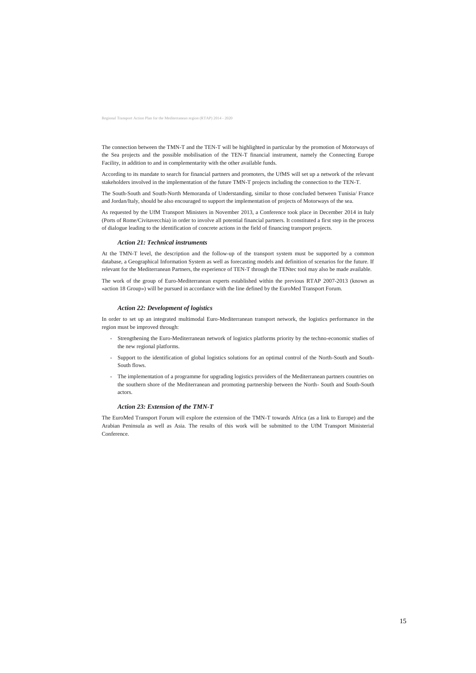Regional Transport Action Plan for the Mediterranean region (RTAP) 2014 - 2020

The connection between the TMN-T and the TEN-T will be highlighted in particular by the promotion of Motorways of the Sea projects and the possible mobilisation of the TEN-T financial instrument, namely the Connecting Europe Facility, in addition to and in complementarity with the other available funds.

According to its mandate to search for financial partners and promoters, the UfMS will set up a network of the relevant stakeholders involved in the implementation of the future TMN-T projects including the connection to the TEN-T.

The South-South and South-North Memoranda of Understanding, similar to those concluded between Tunisia/ France and Jordan/Italy, should be also encouraged to support the implementation of projects of Motorways of the sea.

As requested by the UfM Transport Ministers in November 2013, a Conference took place in December 2014 in Italy (Ports of Rome/Civitavecchia) in order to involve all potential financial partners. It constituted a first step in the process of dialogue leading to the identification of concrete actions in the field of financing transport projects.

#### *Action 21: Technical instruments*

At the TMN-T level, the description and the follow-up of the transport system must be supported by a common database, a Geographical Information System as well as forecasting models and definition of scenarios for the future. If relevant for the Mediterranean Partners, the experience of TEN-T through the TENtec tool may also be made available.

The work of the group of Euro-Mediterranean experts established within the previous RTAP 2007-2013 (known as «action 18 Group») will be pursued in accordance with the line defined by the EuroMed Transport Forum.

#### *Action 22: Development of logistics*

In order to set up an integrated multimodal Euro-Mediterranean transport network, the logistics performance in the region must be improved through:

- Strengthening the Euro-Mediterranean network of logistics platforms priority by the techno-economic studies of the new regional platforms.
- Support to the identification of global logistics solutions for an optimal control of the North-South and South-South flows.
- The implementation of a programme for upgrading logistics providers of the Mediterranean partners countries on the southern shore of the Mediterranean and promoting partnership between the North- South and South-South actors.

#### *Action 23: Extension of the TMN-T*

The EuroMed Transport Forum will explore the extension of the TMN-T towards Africa (as a link to Europe) and the Arabian Peninsula as well as Asia. The results of this work will be submitted to the UfM Transport Ministerial Conference.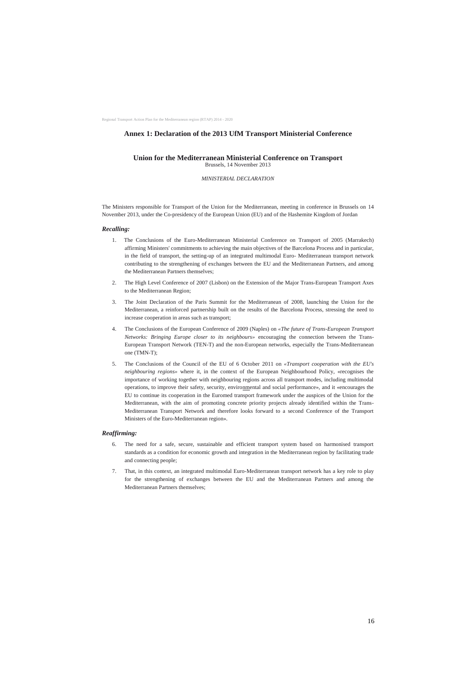Regional Transport Action Plan for the Mediterranean region (RTAP) 2014 - 2020

## **Annex 1: Declaration of the 2013 UfM Transport Ministerial Conference**

## **Union for the Mediterranean Ministerial Conference on Transport** Brussels, 14 November 2013

*MINISTERIAL DECLARATION*

The Ministers responsible for Transport of the Union for the Mediterranean, meeting in conference in Brussels on 14 November 2013, under the Co-presidency of the European Union (EU) and of the Hashemite Kingdom of Jordan

#### *Recalling:*

- 1. The Conclusions of the Euro-Mediterranean Ministerial Conference on Transport of 2005 (Marrakech) affirming Ministers' commitments to achieving the main objectives of the Barcelona Process and in particular, in the field of transport, the setting-up of an integrated multimodal Euro- Mediterranean transport network contributing to the strengthening of exchanges between the EU and the Mediterranean Partners, and among the Mediterranean Partners themselves;
- 2. The High Level Conference of 2007 (Lisbon) on the Extension of the Major Trans-European Transport Axes to the Mediterranean Region;
- 3. The Joint Declaration of the Paris Summit for the Mediterranean of 2008, launching the Union for the Mediterranean, a reinforced partnership built on the results of the Barcelona Process, stressing the need to increase cooperation in areas such as transport;
- 4. The Conclusions of the European Conference of 2009 (Naples) on *«The future of Trans-European Transport Networks: Bringing Europe closer to its neighbours»* encouraging the connection between the Trans-European Transport Network (TEN-T) and the non-European networks, especially the Trans-Mediterranean one (TMN-T);
- 5. The Conclusions of the Council of the EU of 6 October 2011 on *«Transport cooperation with the EU's neighbouring regions»* where it, in the context of the European Neighbourhood Policy, «recognises the importance of working together with neighbouring regions across all transport modes, including multimodal operations, to improve their safety, security, environmental and social performance», and it «encourages the EU to continue its cooperation in the Euromed transport framework under the auspices of the Union for the Mediterranean, with the aim of promoting concrete priority projects already identified within the Trans-Mediterranean Transport Network and therefore looks forward to a second Conference of the Transport Ministers of the Euro-Mediterranean region».

#### *Reaffirming:*

- 6. The need for a safe, secure, sustainable and efficient transport system based on harmonised transport standards as a condition for economic growth and integration in the Mediterranean region by facilitating trade and connecting people;
- 7. That, in this context, an integrated multimodal Euro-Mediterranean transport network has a key role to play for the strengthening of exchanges between the EU and the Mediterranean Partners and among the Mediterranean Partners themselves;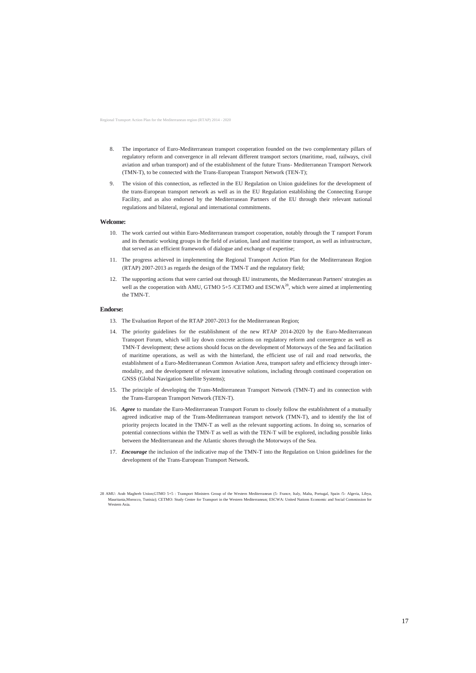Regional Transport Action Plan for the Mediterranean region (RTAP) 2014 - 2020

- 8. The importance of Euro-Mediterranean transport cooperation founded on the two complementary pillars of regulatory reform and convergence in all relevant different transport sectors (maritime, road, railways, civil aviation and urban transport) and of the establishment of the future Trans- Mediterranean Transport Network (TMN-T), to be connected with the Trans-European Transport Network (TEN-T);
- 9. The vision of this connection, as reflected in the EU Regulation on Union guidelines for the development of the trans-European transport network as well as in the EU Regulation establishing the Connecting Europe Facility, and as also endorsed by the Mediterranean Partners of the EU through their relevant national regulations and bilateral, regional and international commitments.

#### **Welcome:**

- 10. The work carried out within Euro-Mediterranean transport cooperation, notably through the T ransport Forum and its thematic working groups in the field of aviation, land and maritime transport, as well as infrastructure, that served as an efficient framework of dialogue and exchange of expertise;
- 11. The progress achieved in implementing the Regional Transport Action Plan for the Mediterranean Region (RTAP) 2007-2013 as regards the design of the TMN-T and the regulatory field;
- 12. The supporting actions that were carried out through EU instruments, the Mediterranean Partners' strategies as well as the cooperation with AMU, GTMO 5+5 /CETMO and ESCWA<sup>28</sup>, which were aimed at implementing the TMN-T.

#### **Endorse:**

- 13. The Evaluation Report of the RTAP 2007-2013 for the Mediterranean Region;
- 14. The priority guidelines for the establishment of the new RTAP 2014-2020 by the Euro-Mediterranean Transport Forum, which will lay down concrete actions on regulatory reform and convergence as well as TMN-T development; these actions should focus on the development of Motorways of the Sea and facilitation of maritime operations, as well as with the hinterland, the efficient use of rail and road networks, the establishment of a Euro-Mediterranean Common Aviation Area, transport safety and efficiency through intermodality, and the development of relevant innovative solutions, including through continued cooperation on GNSS (Global Navigation Satellite Systems);
- 15. The principle of developing the Trans-Mediterranean Transport Network (TMN-T) and its connection with the Trans-European Transport Network (TEN-T).
- 16. *Agree* to mandate the Euro-Mediterranean Transport Forum to closely follow the establishment of a mutually agreed indicative map of the Trans-Mediterranean transport network (TMN-T), and to identify the list of priority projects located in the TMN-T as well as the relevant supporting actions. In doing so, scenarios of potential connections within the TMN-T as well as with the TEN-T will be explored, including possible links between the Mediterranean and the Atlantic shores through the Motorways of the Sea.
- 17. *Encourage* the inclusion of the indicative map of the TMN-T into the Regulation on Union guidelines for the development of the Trans-European Transport Network.

<sup>28</sup> AMU: Arab Maghreb Union;GTMO 5+5 : Transport Ministers Group of the Western Mediterranean (5- France, Italy, Malta, Portugal, Spain /5- Algeria, Libya, Mauritania,Morocco, Tunisia); CETMO: Study Centre for Transport in the Western Mediterranean; ESCWA: United Nations Economic and Social Commission for Western Asia.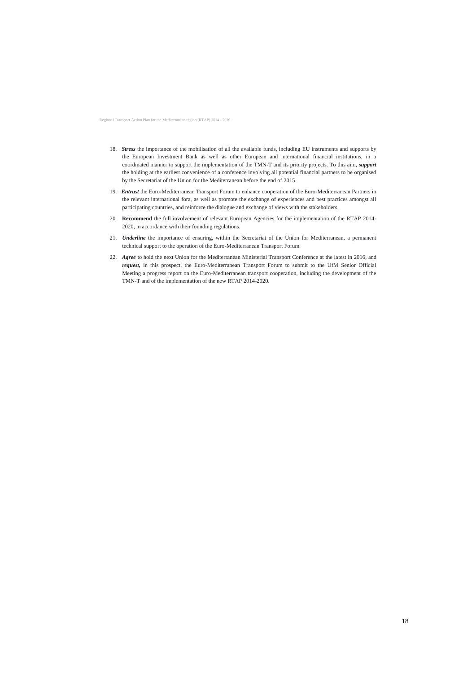Regional Transport Action Plan for the Mediterranean region (RTAP) 2014 - 2020

- 18. *Stress* the importance of the mobilisation of all the available funds, including EU instruments and supports by the European Investment Bank as well as other European and international financial institutions, in a coordinated manner to support the implementation of the TMN-T and its priority projects. To this aim, *support* the holding at the earliest convenience of a conference involving all potential financial partners to be organised by the Secretariat of the Union for the Mediterranean before the end of 2015.
- 19. *Entrust* the Euro-Mediterranean Transport Forum to enhance cooperation of the Euro-Mediterranean Partners in the relevant international fora, as well as promote the exchange of experiences and best practices amongst all participating countries, and reinforce the dialogue and exchange of views with the stakeholders.
- 20. **Recommend** the full involvement of relevant European Agencies for the implementation of the RTAP 2014- 2020, in accordance with their founding regulations.
- 21. *Underline* the importance of ensuring, within the Secretariat of the Union for Mediterranean, a permanent technical support to the operation of the Euro-Mediterranean Transport Forum.
- 22. *Agree* to hold the next Union for the Mediterranean Ministerial Transport Conference at the latest in 2016, and *request,* in this prospect, the Euro-Mediterranean Transport Forum to submit to the UfM Senior Official Meeting a progress report on the Euro-Mediterranean transport cooperation, including the development of the TMN-T and of the implementation of the new RTAP 2014-2020.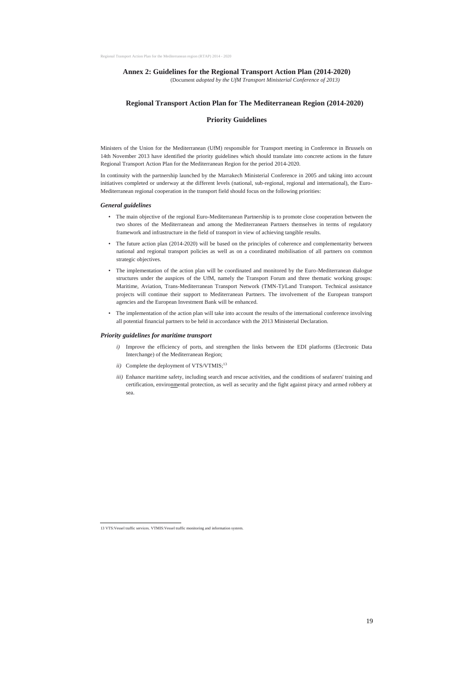## **Annex 2: Guidelines for the Regional Transport Action Plan (2014-2020)**

(Document *adopted by the UfM Transport Ministerial Conference of 2013)*

## **Regional Transport Action Plan for The Mediterranean Region (2014-2020)**

## **Priority Guidelines**

Ministers of the Union for the Mediterranean (UfM) responsible for Transport meeting in Conference in Brussels on 14th November 2013 have identified the priority guidelines which should translate into concrete actions in the future Regional Transport Action Plan for the Mediterranean Region for the period 2014-2020.

In continuity with the partnership launched by the Marrakech Ministerial Conference in 2005 and taking into account initiatives completed or underway at the different levels (national, sub-regional, regional and international), the Euro-Mediterranean regional cooperation in the transport field should focus on the following priorities:

#### *General guidelines*

- *i*) Improve the efficiency of ports, and strengthen the links between the EDI platforms (Electronic Data Interchange) of the Mediterranean Region;
- *ii*) Complete the deployment of VTS/VTMIS;<sup>13</sup>
- *iii)* Enhance maritime safety, including search and rescue activities, and the conditions of seafarers' training and certification, environmental protection, as well as security and the fight against piracy and armed robbery at sea.
- The main objective of the regional Euro-Mediterranean Partnership is to promote close cooperation between the two shores of the Mediterranean and among the Mediterranean Partners themselves in terms of regulatory framework and infrastructure in the field of transport in view of achieving tangible results.
- The future action plan (2014-2020) will be based on the principles of coherence and complementarity between national and regional transport policies as well as on a coordinated mobilisation of all partners on common strategic objectives.
- The implementation of the action plan will be coordinated and monitored by the Euro-Mediterranean dialogue structures under the auspices of the UfM, namely the Transport Forum and three thematic working groups: Maritime, Aviation, Trans-Mediterranean Transport Network (TMN-T)/Land Transport. Technical assistance projects will continue their support to Mediterranean Partners. The involvement of the European transport agencies and the European Investment Bank will be enhanced.
- The implementation of the action plan will take into account the results of the international conference involving all potential financial partners to be held in accordance with the 2013 Ministerial Declaration.

#### *Priority guidelines for maritime transport*

 $\overline{a}$ 

<sup>13</sup> VTS:Vessel traffic services. VTMIS:Vessel traffic monitoring and information system.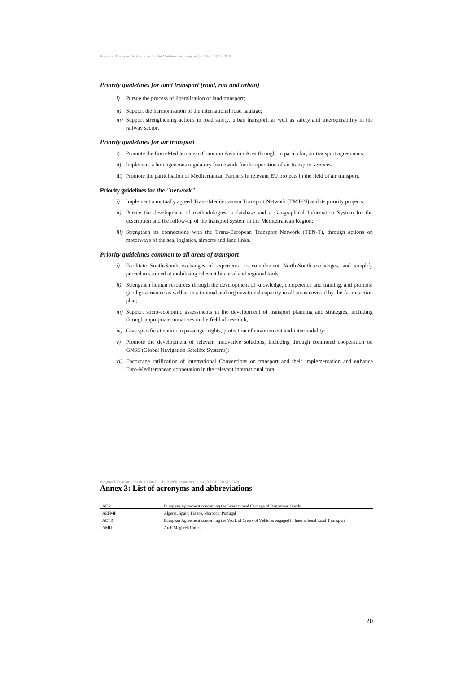#### *Priority guidelines for land transport (road, rail and urban)*

- *i)* Pursue the process of liberalisation of land transport;
- *ii)* Support the harmonisation of the international road haulage;
- *iii)* Support strengthening actions in road safety, urban transport, as well as safety and interoperability in the railway sector.

## *Priority guidelines for air transport*

- i) Promote the Euro-Mediterranean Common Aviation Area through, in particular, air transport agreements;
- ii) Implement a homogeneous regulatory framework for the operation of air transport services;
- iii) Promote the participation of Mediterranean Partners in relevant EU projects in the field of air transport.

- *i*) Implement a mutually agreed Trans-Mediterranean Transport Network (TMT-N) and its priority projects;
- *ii)* Pursue the development of methodologies, a database and a Geographical Information System for the description and the follow-up of the transport system in the Mediterranean Region;
- *iii)* Strengthen its connections with the Trans-European Transport Network (TEN-T), through actions on motorways of the sea, logistics, airports and land links.

#### **Priority guidelines for** *the "network"*

- *i*) Facilitate South-South exchanges of experience to complement North-South exchanges, and simplify procedures aimed at mobilising relevant bilateral and regional tools;
- *ii)* Strengthen human resources through the development of knowledge, competence and training, and promote good governance as well as institutional and organizational capacity in all areas covered by the future action plan;
- *iii)* Support socio-economic assessments in the development of transport planning and strategies, including through appropriate initiatives in the field of research;
- *iv)* Give specific attention to passenger rights, protection of environment and intermodality;
- *v*) Promote the development of relevant innovative solutions, including through continued cooperation on GNSS (Global Navigation Satellite Systems);
- *vi)* Encourage ratification of international Conventions on transport and their implementation and enhance Euro-Mediterranean cooperation in the relevant international fora.

#### *Priority guidelines common to all areas of transport*

Regional Transport Action Plan for the Mediterranean region (RTAP) 2014 - 2020

## **Annex 3: List of acronyms and abbreviations**

| <b>AEFMP</b> | Algeria, Spain, France, Morocco, Portugal                                                            |
|--------------|------------------------------------------------------------------------------------------------------|
| AETR         | European Agreement concerning the Work of Crews of Vehicles engaged in International Road T ransport |
| AMU          | Arab Maghreb Union                                                                                   |